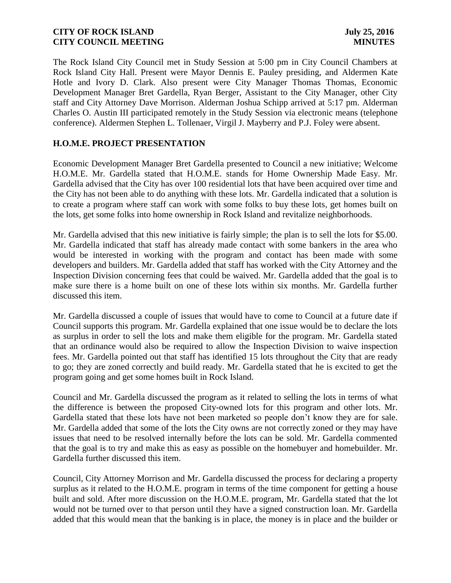The Rock Island City Council met in Study Session at 5:00 pm in City Council Chambers at Rock Island City Hall. Present were Mayor Dennis E. Pauley presiding, and Aldermen Kate Hotle and Ivory D. Clark. Also present were City Manager Thomas Thomas, Economic Development Manager Bret Gardella, Ryan Berger, Assistant to the City Manager, other City staff and City Attorney Dave Morrison. Alderman Joshua Schipp arrived at 5:17 pm. Alderman Charles O. Austin III participated remotely in the Study Session via electronic means (telephone conference). Aldermen Stephen L. Tollenaer, Virgil J. Mayberry and P.J. Foley were absent.

## **H.O.M.E. PROJECT PRESENTATION**

Economic Development Manager Bret Gardella presented to Council a new initiative; Welcome H.O.M.E. Mr. Gardella stated that H.O.M.E. stands for Home Ownership Made Easy. Mr. Gardella advised that the City has over 100 residential lots that have been acquired over time and the City has not been able to do anything with these lots. Mr. Gardella indicated that a solution is to create a program where staff can work with some folks to buy these lots, get homes built on the lots, get some folks into home ownership in Rock Island and revitalize neighborhoods.

Mr. Gardella advised that this new initiative is fairly simple; the plan is to sell the lots for \$5.00. Mr. Gardella indicated that staff has already made contact with some bankers in the area who would be interested in working with the program and contact has been made with some developers and builders. Mr. Gardella added that staff has worked with the City Attorney and the Inspection Division concerning fees that could be waived. Mr. Gardella added that the goal is to make sure there is a home built on one of these lots within six months. Mr. Gardella further discussed this item.

Mr. Gardella discussed a couple of issues that would have to come to Council at a future date if Council supports this program. Mr. Gardella explained that one issue would be to declare the lots as surplus in order to sell the lots and make them eligible for the program. Mr. Gardella stated that an ordinance would also be required to allow the Inspection Division to waive inspection fees. Mr. Gardella pointed out that staff has identified 15 lots throughout the City that are ready to go; they are zoned correctly and build ready. Mr. Gardella stated that he is excited to get the program going and get some homes built in Rock Island.

Council and Mr. Gardella discussed the program as it related to selling the lots in terms of what the difference is between the proposed City-owned lots for this program and other lots. Mr. Gardella stated that these lots have not been marketed so people don't know they are for sale. Mr. Gardella added that some of the lots the City owns are not correctly zoned or they may have issues that need to be resolved internally before the lots can be sold. Mr. Gardella commented that the goal is to try and make this as easy as possible on the homebuyer and homebuilder. Mr. Gardella further discussed this item.

Council, City Attorney Morrison and Mr. Gardella discussed the process for declaring a property surplus as it related to the H.O.M.E. program in terms of the time component for getting a house built and sold. After more discussion on the H.O.M.E. program, Mr. Gardella stated that the lot would not be turned over to that person until they have a signed construction loan. Mr. Gardella added that this would mean that the banking is in place, the money is in place and the builder or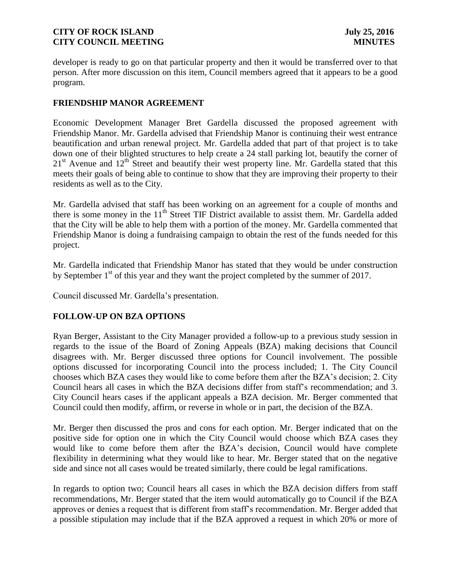developer is ready to go on that particular property and then it would be transferred over to that person. After more discussion on this item, Council members agreed that it appears to be a good program.

## **FRIENDSHIP MANOR AGREEMENT**

Economic Development Manager Bret Gardella discussed the proposed agreement with Friendship Manor. Mr. Gardella advised that Friendship Manor is continuing their west entrance beautification and urban renewal project. Mr. Gardella added that part of that project is to take down one of their blighted structures to help create a 24 stall parking lot, beautify the corner of  $21<sup>st</sup>$  Avenue and  $12<sup>th</sup>$  Street and beautify their west property line. Mr. Gardella stated that this meets their goals of being able to continue to show that they are improving their property to their residents as well as to the City.

Mr. Gardella advised that staff has been working on an agreement for a couple of months and there is some money in the  $11<sup>th</sup>$  Street TIF District available to assist them. Mr. Gardella added that the City will be able to help them with a portion of the money. Mr. Gardella commented that Friendship Manor is doing a fundraising campaign to obtain the rest of the funds needed for this project.

Mr. Gardella indicated that Friendship Manor has stated that they would be under construction by September  $1<sup>st</sup>$  of this year and they want the project completed by the summer of 2017.

Council discussed Mr. Gardella's presentation.

## **FOLLOW-UP ON BZA OPTIONS**

Ryan Berger, Assistant to the City Manager provided a follow-up to a previous study session in regards to the issue of the Board of Zoning Appeals (BZA) making decisions that Council disagrees with. Mr. Berger discussed three options for Council involvement. The possible options discussed for incorporating Council into the process included; 1. The City Council chooses which BZA cases they would like to come before them after the BZA's decision; 2. City Council hears all cases in which the BZA decisions differ from staff's recommendation; and 3. City Council hears cases if the applicant appeals a BZA decision. Mr. Berger commented that Council could then modify, affirm, or reverse in whole or in part, the decision of the BZA.

Mr. Berger then discussed the pros and cons for each option. Mr. Berger indicated that on the positive side for option one in which the City Council would choose which BZA cases they would like to come before them after the BZA's decision, Council would have complete flexibility in determining what they would like to hear. Mr. Berger stated that on the negative side and since not all cases would be treated similarly, there could be legal ramifications.

In regards to option two; Council hears all cases in which the BZA decision differs from staff recommendations, Mr. Berger stated that the item would automatically go to Council if the BZA approves or denies a request that is different from staff's recommendation. Mr. Berger added that a possible stipulation may include that if the BZA approved a request in which 20% or more of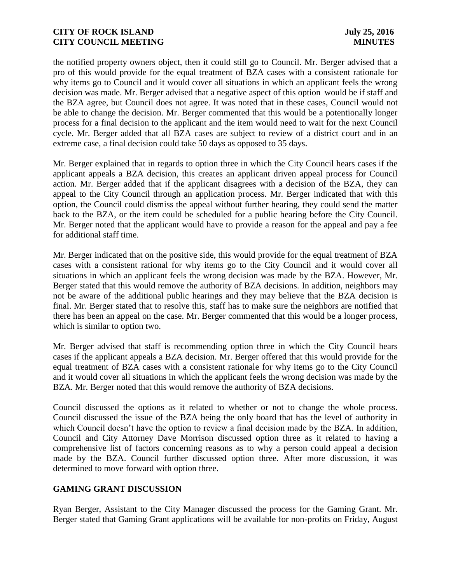the notified property owners object, then it could still go to Council. Mr. Berger advised that a pro of this would provide for the equal treatment of BZA cases with a consistent rationale for why items go to Council and it would cover all situations in which an applicant feels the wrong decision was made. Mr. Berger advised that a negative aspect of this option would be if staff and the BZA agree, but Council does not agree. It was noted that in these cases, Council would not be able to change the decision. Mr. Berger commented that this would be a potentionally longer process for a final decision to the applicant and the item would need to wait for the next Council cycle. Mr. Berger added that all BZA cases are subject to review of a district court and in an extreme case, a final decision could take 50 days as opposed to 35 days.

Mr. Berger explained that in regards to option three in which the City Council hears cases if the applicant appeals a BZA decision, this creates an applicant driven appeal process for Council action. Mr. Berger added that if the applicant disagrees with a decision of the BZA, they can appeal to the City Council through an application process. Mr. Berger indicated that with this option, the Council could dismiss the appeal without further hearing, they could send the matter back to the BZA, or the item could be scheduled for a public hearing before the City Council. Mr. Berger noted that the applicant would have to provide a reason for the appeal and pay a fee for additional staff time.

Mr. Berger indicated that on the positive side, this would provide for the equal treatment of BZA cases with a consistent rational for why items go to the City Council and it would cover all situations in which an applicant feels the wrong decision was made by the BZA. However, Mr. Berger stated that this would remove the authority of BZA decisions. In addition, neighbors may not be aware of the additional public hearings and they may believe that the BZA decision is final. Mr. Berger stated that to resolve this, staff has to make sure the neighbors are notified that there has been an appeal on the case. Mr. Berger commented that this would be a longer process, which is similar to option two.

Mr. Berger advised that staff is recommending option three in which the City Council hears cases if the applicant appeals a BZA decision. Mr. Berger offered that this would provide for the equal treatment of BZA cases with a consistent rationale for why items go to the City Council and it would cover all situations in which the applicant feels the wrong decision was made by the BZA. Mr. Berger noted that this would remove the authority of BZA decisions.

Council discussed the options as it related to whether or not to change the whole process. Council discussed the issue of the BZA being the only board that has the level of authority in which Council doesn't have the option to review a final decision made by the BZA. In addition, Council and City Attorney Dave Morrison discussed option three as it related to having a comprehensive list of factors concerning reasons as to why a person could appeal a decision made by the BZA. Council further discussed option three. After more discussion, it was determined to move forward with option three.

## **GAMING GRANT DISCUSSION**

Ryan Berger, Assistant to the City Manager discussed the process for the Gaming Grant. Mr. Berger stated that Gaming Grant applications will be available for non-profits on Friday, August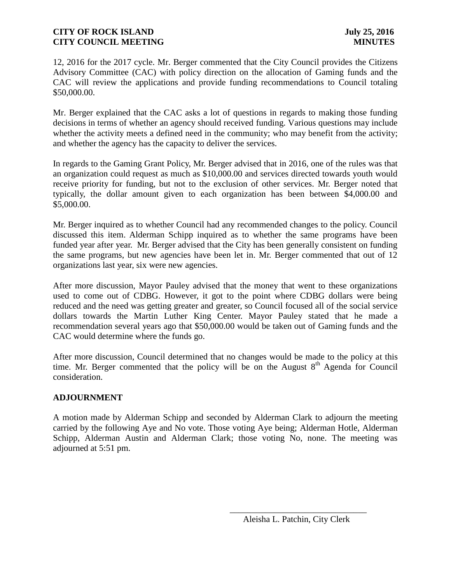12, 2016 for the 2017 cycle. Mr. Berger commented that the City Council provides the Citizens Advisory Committee (CAC) with policy direction on the allocation of Gaming funds and the CAC will review the applications and provide funding recommendations to Council totaling \$50,000.00.

Mr. Berger explained that the CAC asks a lot of questions in regards to making those funding decisions in terms of whether an agency should received funding. Various questions may include whether the activity meets a defined need in the community; who may benefit from the activity; and whether the agency has the capacity to deliver the services.

In regards to the Gaming Grant Policy, Mr. Berger advised that in 2016, one of the rules was that an organization could request as much as \$10,000.00 and services directed towards youth would receive priority for funding, but not to the exclusion of other services. Mr. Berger noted that typically, the dollar amount given to each organization has been between \$4,000.00 and \$5,000.00.

Mr. Berger inquired as to whether Council had any recommended changes to the policy. Council discussed this item. Alderman Schipp inquired as to whether the same programs have been funded year after year. Mr. Berger advised that the City has been generally consistent on funding the same programs, but new agencies have been let in. Mr. Berger commented that out of 12 organizations last year, six were new agencies.

After more discussion, Mayor Pauley advised that the money that went to these organizations used to come out of CDBG. However, it got to the point where CDBG dollars were being reduced and the need was getting greater and greater, so Council focused all of the social service dollars towards the Martin Luther King Center. Mayor Pauley stated that he made a recommendation several years ago that \$50,000.00 would be taken out of Gaming funds and the CAC would determine where the funds go.

After more discussion, Council determined that no changes would be made to the policy at this time. Mr. Berger commented that the policy will be on the August  $8<sup>th</sup>$  Agenda for Council consideration.

## **ADJOURNMENT**

A motion made by Alderman Schipp and seconded by Alderman Clark to adjourn the meeting carried by the following Aye and No vote. Those voting Aye being; Alderman Hotle, Alderman Schipp, Alderman Austin and Alderman Clark; those voting No, none. The meeting was adjourned at 5:51 pm.

 $\overline{\phantom{a}}$  , and the contract of the contract of the contract of the contract of the contract of the contract of the contract of the contract of the contract of the contract of the contract of the contract of the contrac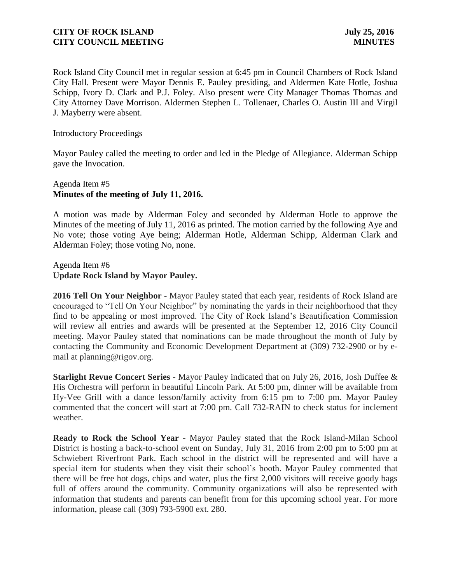Rock Island City Council met in regular session at 6:45 pm in Council Chambers of Rock Island City Hall. Present were Mayor Dennis E. Pauley presiding, and Aldermen Kate Hotle, Joshua Schipp, Ivory D. Clark and P.J. Foley. Also present were City Manager Thomas Thomas and City Attorney Dave Morrison. Aldermen Stephen L. Tollenaer, Charles O. Austin III and Virgil J. Mayberry were absent.

Introductory Proceedings

Mayor Pauley called the meeting to order and led in the Pledge of Allegiance. Alderman Schipp gave the Invocation.

## Agenda Item #5 **Minutes of the meeting of July 11, 2016.**

A motion was made by Alderman Foley and seconded by Alderman Hotle to approve the Minutes of the meeting of July 11, 2016 as printed. The motion carried by the following Aye and No vote; those voting Aye being; Alderman Hotle, Alderman Schipp, Alderman Clark and Alderman Foley; those voting No, none.

Agenda Item #6 **Update Rock Island by Mayor Pauley.** 

**2016 Tell On Your Neighbor** - Mayor Pauley stated that each year, residents of Rock Island are encouraged to "Tell On Your Neighbor" by nominating the yards in their neighborhood that they find to be appealing or most improved. The City of Rock Island's Beautification Commission will review all entries and awards will be presented at the September 12, 2016 City Council meeting. Mayor Pauley stated that nominations can be made throughout the month of July by contacting the Community and Economic Development Department at (309) 732-2900 or by email at planning@rigov.org.

**Starlight Revue Concert Series** - Mayor Pauley indicated that on July 26, 2016, Josh Duffee & His Orchestra will perform in beautiful Lincoln Park. At 5:00 pm, dinner will be available from Hy-Vee Grill with a dance lesson/family activity from 6:15 pm to 7:00 pm. Mayor Pauley commented that the concert will start at 7:00 pm. Call 732-RAIN to check status for inclement weather.

**Ready to Rock the School Year -** Mayor Pauley stated that the Rock Island-Milan School District is hosting a back-to-school event on Sunday, July 31, 2016 from 2:00 pm to 5:00 pm at Schwiebert Riverfront Park. Each school in the district will be represented and will have a special item for students when they visit their school's booth. Mayor Pauley commented that there will be free hot dogs, chips and water, plus the first 2,000 visitors will receive goody bags full of offers around the community. Community organizations will also be represented with information that students and parents can benefit from for this upcoming school year. For more information, please call (309) 793-5900 ext. 280.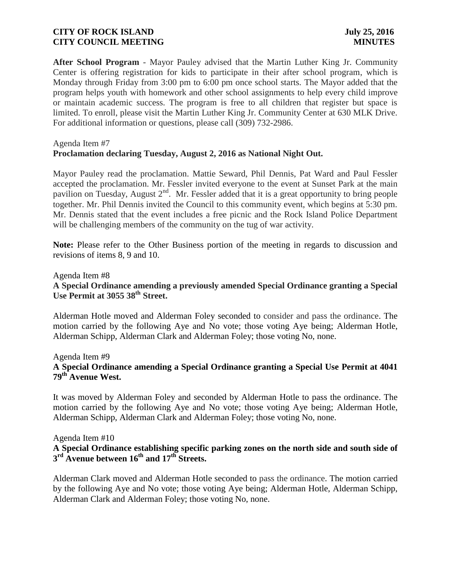**After School Program** - Mayor Pauley advised that the Martin Luther King Jr. Community Center is offering registration for kids to participate in their after school program, which is Monday through Friday from 3:00 pm to 6:00 pm once school starts. The Mayor added that the program helps youth with homework and other school assignments to help every child improve or maintain academic success. The program is free to all children that register but space is limited. To enroll, please visit the Martin Luther King Jr. Community Center at 630 MLK Drive. For additional information or questions, please call (309) 732-2986.

### Agenda Item #7 **Proclamation declaring Tuesday, August 2, 2016 as National Night Out.**

Mayor Pauley read the proclamation. Mattie Seward, Phil Dennis, Pat Ward and Paul Fessler accepted the proclamation. Mr. Fessler invited everyone to the event at Sunset Park at the main pavilion on Tuesday, August  $2^{nd}$ . Mr. Fessler added that it is a great opportunity to bring people together. Mr. Phil Dennis invited the Council to this community event, which begins at 5:30 pm. Mr. Dennis stated that the event includes a free picnic and the Rock Island Police Department will be challenging members of the community on the tug of war activity.

**Note:** Please refer to the Other Business portion of the meeting in regards to discussion and revisions of items 8, 9 and 10.

### Agenda Item #8

## **A Special Ordinance amending a previously amended Special Ordinance granting a Special Use Permit at 3055 38th Street.**

Alderman Hotle moved and Alderman Foley seconded to consider and pass the ordinance. The motion carried by the following Aye and No vote; those voting Aye being; Alderman Hotle, Alderman Schipp, Alderman Clark and Alderman Foley; those voting No, none.

Agenda Item #9

## **A Special Ordinance amending a Special Ordinance granting a Special Use Permit at 4041 79th Avenue West.**

It was moved by Alderman Foley and seconded by Alderman Hotle to pass the ordinance. The motion carried by the following Aye and No vote; those voting Aye being; Alderman Hotle, Alderman Schipp, Alderman Clark and Alderman Foley; those voting No, none.

Agenda Item #10

# **A Special Ordinance establishing specific parking zones on the north side and south side of 3 rd Avenue between 16th and 17th Streets.**

Alderman Clark moved and Alderman Hotle seconded to pass the ordinance. The motion carried by the following Aye and No vote; those voting Aye being; Alderman Hotle, Alderman Schipp, Alderman Clark and Alderman Foley; those voting No, none.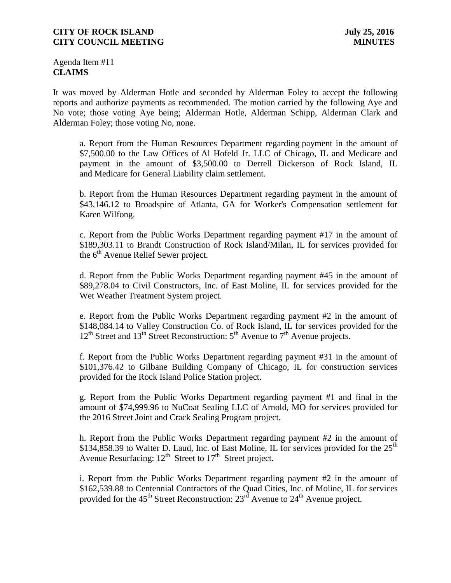Agenda Item #11 **CLAIMS**

It was moved by Alderman Hotle and seconded by Alderman Foley to accept the following reports and authorize payments as recommended. The motion carried by the following Aye and No vote; those voting Aye being; Alderman Hotle, Alderman Schipp, Alderman Clark and Alderman Foley; those voting No, none.

a. Report from the Human Resources Department regarding payment in the amount of \$7,500.00 to the Law Offices of Al Hofeld Jr. LLC of Chicago, IL and Medicare and payment in the amount of \$3,500.00 to Derrell Dickerson of Rock Island, IL and Medicare for General Liability claim settlement.

b. Report from the Human Resources Department regarding payment in the amount of \$43,146.12 to Broadspire of Atlanta, GA for Worker's Compensation settlement for Karen Wilfong.

c. Report from the Public Works Department regarding payment #17 in the amount of \$189,303.11 to Brandt Construction of Rock Island/Milan, IL for services provided for the  $6<sup>th</sup>$  Avenue Relief Sewer project.

d. Report from the Public Works Department regarding payment #45 in the amount of \$89,278.04 to Civil Constructors, Inc. of East Moline, IL for services provided for the Wet Weather Treatment System project.

e. Report from the Public Works Department regarding payment #2 in the amount of \$148,084.14 to Valley Construction Co. of Rock Island, IL for services provided for the  $12<sup>th</sup>$  Street and  $13<sup>th</sup>$  Street Reconstruction:  $5<sup>th</sup>$  Avenue to  $7<sup>th</sup>$  Avenue projects.

f. Report from the Public Works Department regarding payment #31 in the amount of \$101,376.42 to Gilbane Building Company of Chicago, IL for construction services provided for the Rock Island Police Station project.

g. Report from the Public Works Department regarding payment #1 and final in the amount of \$74,999.96 to NuCoat Sealing LLC of Arnold, MO for services provided for the 2016 Street Joint and Crack Sealing Program project.

h. Report from the Public Works Department regarding payment #2 in the amount of \$134,858.39 to Walter D. Laud, Inc. of East Moline, IL for services provided for the  $25<sup>th</sup>$ Avenue Resurfacing:  $12<sup>th</sup>$  Street to  $17<sup>th</sup>$  Street project.

i. Report from the Public Works Department regarding payment #2 in the amount of \$162,539.88 to Centennial Contractors of the Quad Cities, Inc. of Moline, IL for services provided for the 45<sup>th</sup> Street Reconstruction:  $23^{rd}$  Avenue to  $24^{th}$  Avenue project.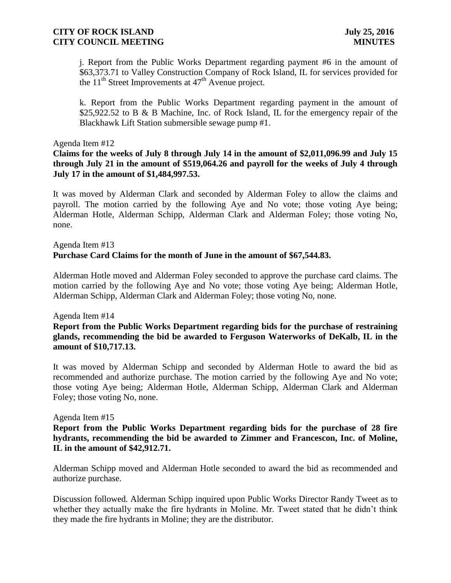j. Report from the Public Works Department regarding payment #6 in the amount of \$63,373.71 to Valley Construction Company of Rock Island, IL for services provided for the  $11<sup>th</sup>$  Street Improvements at  $47<sup>th</sup>$  Avenue project.

k. Report from the Public Works Department regarding payment in the amount of \$25,922.52 to B & B Machine, Inc. of Rock Island, IL for the emergency repair of the Blackhawk Lift Station submersible sewage pump #1.

#### Agenda Item #12

### **Claims for the weeks of July 8 through July 14 in the amount of \$2,011,096.99 and July 15 through July 21 in the amount of \$519,064.26 and payroll for the weeks of July 4 through July 17 in the amount of \$1,484,997.53.**

It was moved by Alderman Clark and seconded by Alderman Foley to allow the claims and payroll. The motion carried by the following Aye and No vote; those voting Aye being; Alderman Hotle, Alderman Schipp, Alderman Clark and Alderman Foley; those voting No, none.

## Agenda Item #13 **Purchase Card Claims for the month of June in the amount of \$67,544.83.**

Alderman Hotle moved and Alderman Foley seconded to approve the purchase card claims. The motion carried by the following Aye and No vote; those voting Aye being; Alderman Hotle, Alderman Schipp, Alderman Clark and Alderman Foley; those voting No, none.

### Agenda Item #14

### **Report from the Public Works Department regarding bids for the purchase of restraining glands, recommending the bid be awarded to Ferguson Waterworks of DeKalb, IL in the amount of \$10,717.13.**

It was moved by Alderman Schipp and seconded by Alderman Hotle to award the bid as recommended and authorize purchase. The motion carried by the following Aye and No vote; those voting Aye being; Alderman Hotle, Alderman Schipp, Alderman Clark and Alderman Foley; those voting No, none.

#### Agenda Item #15

## **Report from the Public Works Department regarding bids for the purchase of 28 fire hydrants, recommending the bid be awarded to Zimmer and Francescon, Inc. of Moline, IL in the amount of \$42,912.71.**

Alderman Schipp moved and Alderman Hotle seconded to award the bid as recommended and authorize purchase.

Discussion followed. Alderman Schipp inquired upon Public Works Director Randy Tweet as to whether they actually make the fire hydrants in Moline. Mr. Tweet stated that he didn't think they made the fire hydrants in Moline; they are the distributor.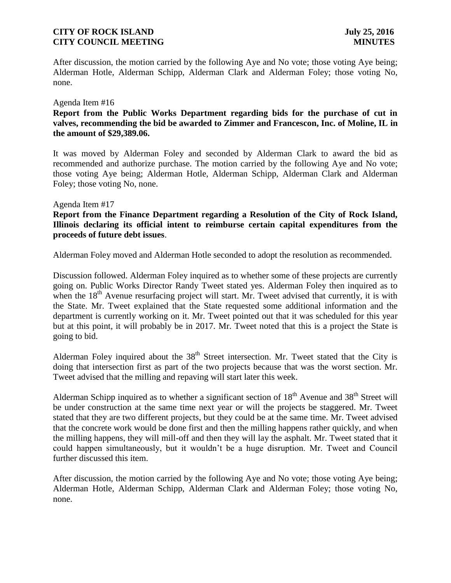After discussion, the motion carried by the following Aye and No vote; those voting Aye being; Alderman Hotle, Alderman Schipp, Alderman Clark and Alderman Foley; those voting No, none.

#### Agenda Item #16

## **Report from the Public Works Department regarding bids for the purchase of cut in valves, recommending the bid be awarded to Zimmer and Francescon, Inc. of Moline, IL in the amount of \$29,389.06.**

It was moved by Alderman Foley and seconded by Alderman Clark to award the bid as recommended and authorize purchase. The motion carried by the following Aye and No vote; those voting Aye being; Alderman Hotle, Alderman Schipp, Alderman Clark and Alderman Foley; those voting No, none.

### Agenda Item #17

## **Report from the Finance Department regarding a Resolution of the City of Rock Island, Illinois declaring its official intent to reimburse certain capital expenditures from the proceeds of future debt issues**.

Alderman Foley moved and Alderman Hotle seconded to adopt the resolution as recommended.

Discussion followed. Alderman Foley inquired as to whether some of these projects are currently going on. Public Works Director Randy Tweet stated yes. Alderman Foley then inquired as to when the  $18<sup>th</sup>$  Avenue resurfacing project will start. Mr. Tweet advised that currently, it is with the State. Mr. Tweet explained that the State requested some additional information and the department is currently working on it. Mr. Tweet pointed out that it was scheduled for this year but at this point, it will probably be in 2017. Mr. Tweet noted that this is a project the State is going to bid.

Alderman Foley inquired about the  $38<sup>th</sup>$  Street intersection. Mr. Tweet stated that the City is doing that intersection first as part of the two projects because that was the worst section. Mr. Tweet advised that the milling and repaving will start later this week.

Alderman Schipp inquired as to whether a significant section of  $18<sup>th</sup>$  Avenue and  $38<sup>th</sup>$  Street will be under construction at the same time next year or will the projects be staggered. Mr. Tweet stated that they are two different projects, but they could be at the same time. Mr. Tweet advised that the concrete work would be done first and then the milling happens rather quickly, and when the milling happens, they will mill-off and then they will lay the asphalt. Mr. Tweet stated that it could happen simultaneously, but it wouldn't be a huge disruption. Mr. Tweet and Council further discussed this item.

After discussion, the motion carried by the following Aye and No vote; those voting Aye being; Alderman Hotle, Alderman Schipp, Alderman Clark and Alderman Foley; those voting No, none.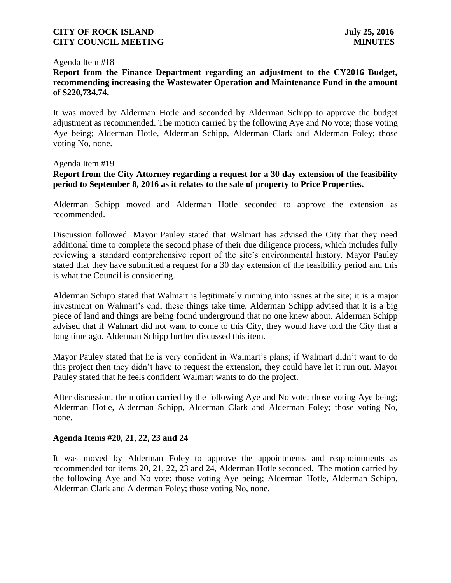#### Agenda Item #18

## **Report from the Finance Department regarding an adjustment to the CY2016 Budget, recommending increasing the Wastewater Operation and Maintenance Fund in the amount of \$220,734.74.**

It was moved by Alderman Hotle and seconded by Alderman Schipp to approve the budget adjustment as recommended. The motion carried by the following Aye and No vote; those voting Aye being; Alderman Hotle, Alderman Schipp, Alderman Clark and Alderman Foley; those voting No, none.

#### Agenda Item #19

## **Report from the City Attorney regarding a request for a 30 day extension of the feasibility period to September 8, 2016 as it relates to the sale of property to Price Properties.**

Alderman Schipp moved and Alderman Hotle seconded to approve the extension as recommended.

Discussion followed. Mayor Pauley stated that Walmart has advised the City that they need additional time to complete the second phase of their due diligence process, which includes fully reviewing a standard comprehensive report of the site's environmental history. Mayor Pauley stated that they have submitted a request for a 30 day extension of the feasibility period and this is what the Council is considering.

Alderman Schipp stated that Walmart is legitimately running into issues at the site; it is a major investment on Walmart's end; these things take time. Alderman Schipp advised that it is a big piece of land and things are being found underground that no one knew about. Alderman Schipp advised that if Walmart did not want to come to this City, they would have told the City that a long time ago. Alderman Schipp further discussed this item.

Mayor Pauley stated that he is very confident in Walmart's plans; if Walmart didn't want to do this project then they didn't have to request the extension, they could have let it run out. Mayor Pauley stated that he feels confident Walmart wants to do the project.

After discussion, the motion carried by the following Aye and No vote; those voting Aye being; Alderman Hotle, Alderman Schipp, Alderman Clark and Alderman Foley; those voting No, none.

#### **Agenda Items #20, 21, 22, 23 and 24**

It was moved by Alderman Foley to approve the appointments and reappointments as recommended for items 20, 21, 22, 23 and 24, Alderman Hotle seconded. The motion carried by the following Aye and No vote; those voting Aye being; Alderman Hotle, Alderman Schipp, Alderman Clark and Alderman Foley; those voting No, none.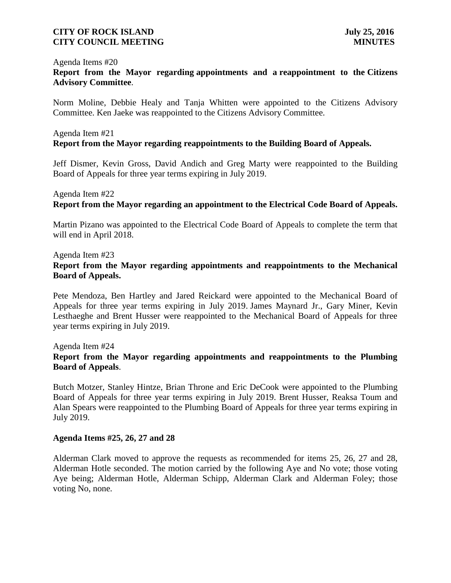#### Agenda Items #20

## **Report from the Mayor regarding appointments and a reappointment to the Citizens Advisory Committee**.

Norm Moline, Debbie Healy and Tanja Whitten were appointed to the Citizens Advisory Committee. Ken Jaeke was reappointed to the Citizens Advisory Committee.

#### Agenda Item #21 **Report from the Mayor regarding reappointments to the Building Board of Appeals.**

Jeff Dismer, Kevin Gross, David Andich and Greg Marty were reappointed to the Building Board of Appeals for three year terms expiring in July 2019.

## Agenda Item #22 **Report from the Mayor regarding an appointment to the Electrical Code Board of Appeals.**

Martin Pizano was appointed to the Electrical Code Board of Appeals to complete the term that will end in April 2018.

## Agenda Item #23 **Report from the Mayor regarding appointments and reappointments to the Mechanical Board of Appeals.**

Pete Mendoza, Ben Hartley and Jared Reickard were appointed to the Mechanical Board of Appeals for three year terms expiring in July 2019. James Maynard Jr., Gary Miner, Kevin Lesthaeghe and Brent Husser were reappointed to the Mechanical Board of Appeals for three year terms expiring in July 2019.

Agenda Item #24

## **Report from the Mayor regarding appointments and reappointments to the Plumbing Board of Appeals**.

Butch Motzer, Stanley Hintze, Brian Throne and Eric DeCook were appointed to the Plumbing Board of Appeals for three year terms expiring in July 2019. Brent Husser, Reaksa Toum and Alan Spears were reappointed to the Plumbing Board of Appeals for three year terms expiring in July 2019.

### **Agenda Items #25, 26, 27 and 28**

Alderman Clark moved to approve the requests as recommended for items 25, 26, 27 and 28, Alderman Hotle seconded. The motion carried by the following Aye and No vote; those voting Aye being; Alderman Hotle, Alderman Schipp, Alderman Clark and Alderman Foley; those voting No, none.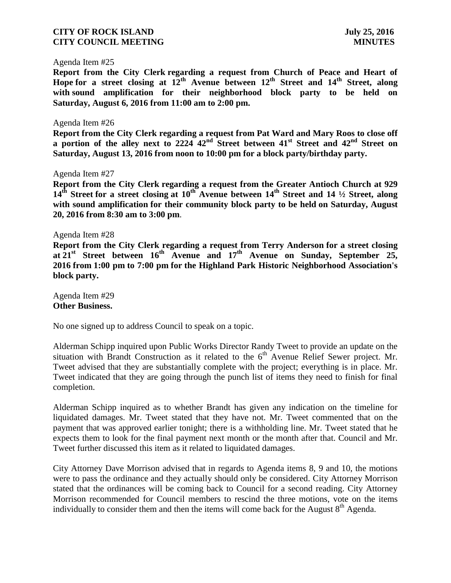#### Agenda Item #25

**Report from the City Clerk regarding a request from Church of Peace and Heart of Hope for a street closing at 12th Avenue between 12th Street and 14th Street, along with sound amplification for their neighborhood block party to be held on Saturday, August 6, 2016 from 11:00 am to 2:00 pm.** 

#### Agenda Item #26

**Report from the City Clerk regarding a request from Pat Ward and Mary Roos to close off a portion of the alley next to 2224 42nd Street between 41st Street and 42nd Street on Saturday, August 13, 2016 from noon to 10:00 pm for a block party/birthday party.**

#### Agenda Item #27

**Report from the City Clerk regarding a request from the Greater Antioch Church at 929 14th Street for a street closing at 10th Avenue between 14th Street and 14 ½ Street, along with sound amplification for their community block party to be held on Saturday, August 20, 2016 from 8:30 am to 3:00 pm**.

#### Agenda Item #28

**Report from the City Clerk regarding a request from Terry Anderson for a street closing**  at  $21^{\text{st}}$  Street between  $16^{\text{th}}$  Avenue and  $17^{\text{th}}$  Avenue on Sunday, September  $25$ , **2016 from 1:00 pm to 7:00 pm for the Highland Park Historic Neighborhood Association's block party.**

Agenda Item #29 **Other Business.**

No one signed up to address Council to speak on a topic.

Alderman Schipp inquired upon Public Works Director Randy Tweet to provide an update on the situation with Brandt Construction as it related to the  $6<sup>th</sup>$  Avenue Relief Sewer project. Mr. Tweet advised that they are substantially complete with the project; everything is in place. Mr. Tweet indicated that they are going through the punch list of items they need to finish for final completion.

Alderman Schipp inquired as to whether Brandt has given any indication on the timeline for liquidated damages. Mr. Tweet stated that they have not. Mr. Tweet commented that on the payment that was approved earlier tonight; there is a withholding line. Mr. Tweet stated that he expects them to look for the final payment next month or the month after that. Council and Mr. Tweet further discussed this item as it related to liquidated damages.

City Attorney Dave Morrison advised that in regards to Agenda items 8, 9 and 10, the motions were to pass the ordinance and they actually should only be considered. City Attorney Morrison stated that the ordinances will be coming back to Council for a second reading. City Attorney Morrison recommended for Council members to rescind the three motions, vote on the items individually to consider them and then the items will come back for the August  $8<sup>th</sup>$  Agenda.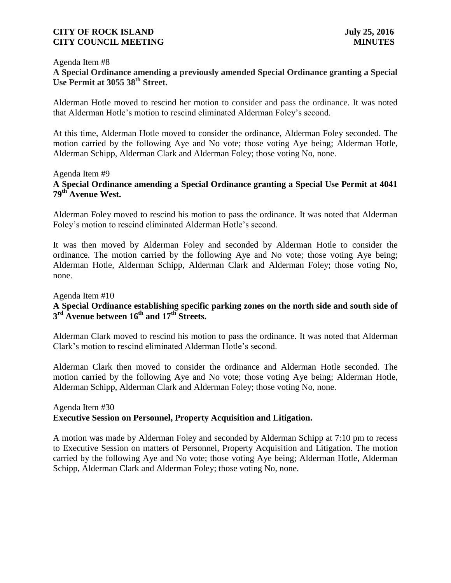#### Agenda Item #8

**A Special Ordinance amending a previously amended Special Ordinance granting a Special Use Permit at 3055 38th Street.**

Alderman Hotle moved to rescind her motion to consider and pass the ordinance. It was noted that Alderman Hotle's motion to rescind eliminated Alderman Foley's second.

At this time, Alderman Hotle moved to consider the ordinance, Alderman Foley seconded. The motion carried by the following Aye and No vote; those voting Aye being; Alderman Hotle, Alderman Schipp, Alderman Clark and Alderman Foley; those voting No, none.

### Agenda Item #9

## **A Special Ordinance amending a Special Ordinance granting a Special Use Permit at 4041 79th Avenue West.**

Alderman Foley moved to rescind his motion to pass the ordinance. It was noted that Alderman Foley's motion to rescind eliminated Alderman Hotle's second.

It was then moved by Alderman Foley and seconded by Alderman Hotle to consider the ordinance. The motion carried by the following Aye and No vote; those voting Aye being; Alderman Hotle, Alderman Schipp, Alderman Clark and Alderman Foley; those voting No, none.

## Agenda Item #10 **A Special Ordinance establishing specific parking zones on the north side and south side of 3 rd Avenue between 16th and 17th Streets.**

Alderman Clark moved to rescind his motion to pass the ordinance. It was noted that Alderman Clark's motion to rescind eliminated Alderman Hotle's second.

Alderman Clark then moved to consider the ordinance and Alderman Hotle seconded. The motion carried by the following Aye and No vote; those voting Aye being; Alderman Hotle, Alderman Schipp, Alderman Clark and Alderman Foley; those voting No, none.

## Agenda Item #30 **Executive Session on Personnel, Property Acquisition and Litigation.**

A motion was made by Alderman Foley and seconded by Alderman Schipp at 7:10 pm to recess to Executive Session on matters of Personnel, Property Acquisition and Litigation. The motion carried by the following Aye and No vote; those voting Aye being; Alderman Hotle, Alderman Schipp, Alderman Clark and Alderman Foley; those voting No, none.